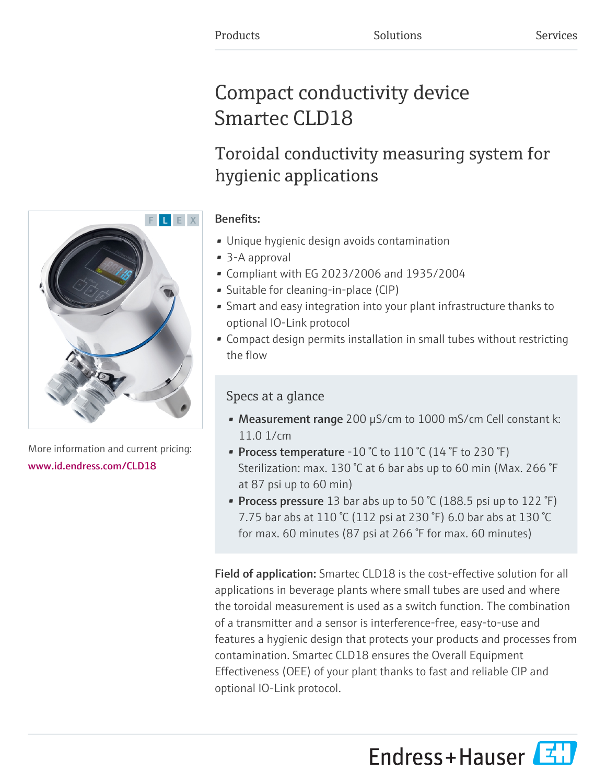# Compact conductivity device Smartec CLD18

# Toroidal conductivity measuring system for hygienic applications

## Benefits:

- Unique hygienic design avoids contamination
- 3-A approval
- Compliant with EG 2023/2006 and 1935/2004
- Suitable for cleaning-in-place (CIP)
- Smart and easy integration into your plant infrastructure thanks to optional IO-Link protocol
- Compact design permits installation in small tubes without restricting the flow

# Specs at a glance

- Measurement range 200 µS/cm to 1000 mS/cm Cell constant k: 11.0 1/cm
- Process temperature -10 °C to 110 °C (14 °F to 230 °F) Sterilization: max. 130 °C at 6 bar abs up to 60 min (Max. 266 °F at 87 psi up to 60 min)
- Process pressure 13 bar abs up to 50  $\degree$ C (188.5 psi up to 122  $\degree$ F) 7.75 bar abs at 110 °C (112 psi at 230 °F) 6.0 bar abs at 130 °C for max. 60 minutes (87 psi at 266 °F for max. 60 minutes)

Field of application: Smartec CLD18 is the cost-effective solution for all applications in beverage plants where small tubes are used and where the toroidal measurement is used as a switch function. The combination of a transmitter and a sensor is interference-free, easy-to-use and features a hygienic design that protects your products and processes from contamination. Smartec CLD18 ensures the Overall Equipment Effectiveness (OEE) of your plant thanks to fast and reliable CIP and optional IO-Link protocol.





More information and current pricing: [www.id.endress.com/CLD18](https://www.id.endress.com/CLD18)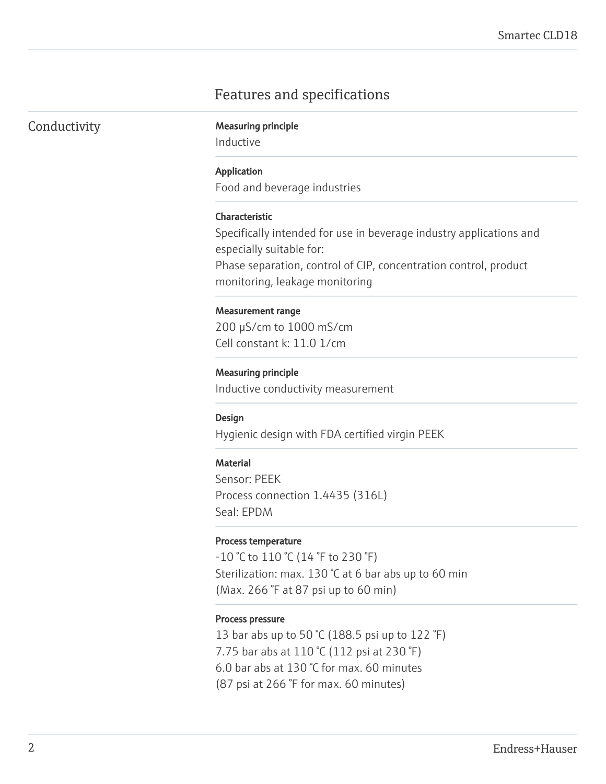# Features and specifications

|  |  | Conductivity |
|--|--|--------------|
|  |  |              |

**Measuring principle** 

Inductive

### Application

Food and beverage industries

#### Characteristic

Specifically intended for use in beverage industry applications and especially suitable for:

Phase separation, control of CIP, concentration control, product monitoring, leakage monitoring

#### Measurement range

200 µS/cm to 1000 mS/cm Cell constant k: 11.0 1/cm

## Measuring principle

Inductive conductivity measurement

#### Design

Hygienic design with FDA certified virgin PEEK

#### **Material**

Sensor: PEEK Process connection 1.4435 (316L) Seal: EPDM

#### Process temperature

-10 °C to 110 °C (14 °F to 230 °F) Sterilization: max. 130 °C at 6 bar abs up to 60 min (Max. 266 °F at 87 psi up to 60 min)

#### Process pressure

13 bar abs up to 50 °C (188.5 psi up to 122 °F) 7.75 bar abs at 110 °C (112 psi at 230 °F) 6.0 bar abs at 130 °C for max. 60 minutes (87 psi at 266 °F for max. 60 minutes)